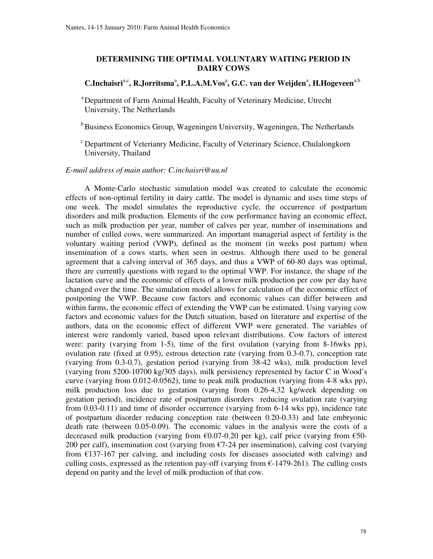## **DETERMINING THE OPTIMAL VOLUNTARY WAITING PERIOD IN DAIRY COWS**

## $C$ .Inchaisri<sup>a,c</sup>, R.Jorritsma<sup>a</sup>, P.L.A.M.Vos<sup>a</sup>, G.C. van der Weijden<sup>a</sup>, H.Hogeveen<sup>a,b</sup>

a Department of Farm Animal Health, Faculty of Veterinary Medicine, Utrecht University, The Netherlands

<sup>b</sup> Business Economics Group, Wageningen University, Wageningen, The Netherlands

 c Department of Veterianry Medicine, Faculty of Veterinary Science, Chulalongkorn University, Thailand

## *E-mail address of main author: C.inchaisri@uu.nl*

A Monte-Carlo stochastic simulation model was created to calculate the economic effects of non-optimal fertility in dairy cattle. The model is dynamic and uses time steps of one week. The model simulates the reproductive cycle, the occurrence of postpartum disorders and milk production. Elements of the cow performance having an economic effect, such as milk production per year, number of calves per year, number of inseminations and number of culled cows, were summarized. An important managerial aspect of fertility is the voluntary waiting period (VWP), defined as the moment (in weeks post partum) when insemination of a cows starts, when seen in oestrus. Although there used to be general agreement that a calving interval of 365 days, and thus a VWP of 60-80 days was optimal, there are currently questions with regard to the optimal VWP. For instance, the shape of the lactation curve and the economic of effects of a lower milk production per cow per day have changed over the time. The simulation model allows for calculation of the economic effect of postponing the VWP. Because cow factors and economic values can differ between and within farms, the economic effect of extending the VWP can be estimated. Using varying cow factors and economic values for the Dutch situation, based on literature and expertise of the authors, data on the economic effect of different VWP were generated. The variables of interest were randomly varied, based upon relevant distributions. Cow factors of interest were: parity (varying from 1-5), time of the first ovulation (varying from 8-16wks pp), ovulation rate (fixed at 0.95), estrous detection rate (varying from 0.3-0.7), conception rate (varying from 0.3-0.7), gestation period (varying from 38-42 wks), milk production level (varying from 5200-10700 kg/305 days), milk persistency represented by factor C in Wood's curve (varying from 0.012-0.0562), time to peak milk production (varying from 4-8 wks pp), milk production loss due to gestation (varying from 0.26-4.32 kg/week depending on gestation period), incidence rate of postpartum disorders reducing ovulation rate (varying from 0.03-0.11) and time of disorder occurrence (varying from 6-14 wks pp), incidence rate of postpartum disorder reducing conception rate (between 0.20-0.33) and late embryonic death rate (between 0.05-0.09). The economic values in the analysis were the costs of a decreased milk production (varying from  $\epsilon$ 0.07-0.20 per kg), calf price (varying from  $\epsilon$ 50-200 per calf), insemination cost (varying from  $\epsilon$ 7-24 per insemination), calving cost (varying from  $£137-167$  per calving, and including costs for diseases associated with calving) and culling costs, expressed as the retention pay-off (varying from  $\epsilon$ -1479-261). The culling costs depend on parity and the level of milk production of that cow.